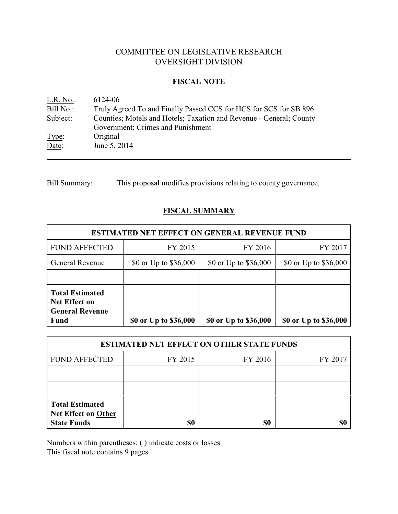# COMMITTEE ON LEGISLATIVE RESEARCH OVERSIGHT DIVISION

#### **FISCAL NOTE**

| L.R. No.  | 6124-06                                                             |
|-----------|---------------------------------------------------------------------|
| Bill No.: | Truly Agreed To and Finally Passed CCS for HCS for SCS for SB 896   |
| Subject:  | Counties; Motels and Hotels; Taxation and Revenue - General; County |
|           | Government; Crimes and Punishment                                   |
| Type:     | Original                                                            |
| Date:     | June 5, 2014                                                        |

Bill Summary: This proposal modifies provisions relating to county governance.

## **FISCAL SUMMARY**

| <b>ESTIMATED NET EFFECT ON GENERAL REVENUE FUND</b>                                     |                       |                       |                       |  |
|-----------------------------------------------------------------------------------------|-----------------------|-----------------------|-----------------------|--|
| <b>FUND AFFECTED</b>                                                                    | FY 2015               | FY 2016               | FY 2017               |  |
| <b>General Revenue</b>                                                                  | \$0 or Up to \$36,000 | \$0 or Up to \$36,000 | \$0 or Up to \$36,000 |  |
|                                                                                         |                       |                       |                       |  |
| <b>Total Estimated</b><br><b>Net Effect on</b><br><b>General Revenue</b><br><b>Fund</b> | \$0 or Up to \$36,000 | \$0 or Up to \$36,000 | \$0 or Up to \$36,000 |  |

| <b>ESTIMATED NET EFFECT ON OTHER STATE FUNDS</b>                    |         |         |         |  |
|---------------------------------------------------------------------|---------|---------|---------|--|
| <b>FUND AFFECTED</b>                                                | FY 2015 | FY 2016 | FY 2017 |  |
|                                                                     |         |         |         |  |
|                                                                     |         |         |         |  |
| <b>Total Estimated</b><br>Net Effect on Other<br><b>State Funds</b> | \$0     | \$0     |         |  |

Numbers within parentheses: ( ) indicate costs or losses.

This fiscal note contains 9 pages.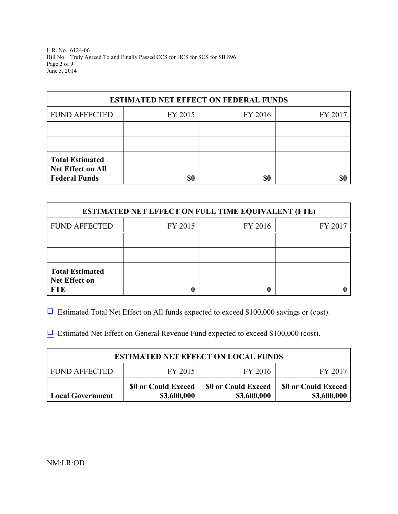L.R. No. 6124-06 Bill No. Truly Agreed To and Finally Passed CCS for HCS for SCS for SB 896 Page 2 of 9 June 5, 2014

| <b>ESTIMATED NET EFFECT ON FEDERAL FUNDS</b> |         |         |         |  |
|----------------------------------------------|---------|---------|---------|--|
| <b>FUND AFFECTED</b>                         | FY 2015 | FY 2016 | FY 2017 |  |
|                                              |         |         |         |  |
|                                              |         |         |         |  |
| <b>Total Estimated</b><br>Net Effect on All  |         |         |         |  |
| <b>Federal Funds</b>                         | \$0     | \$0     |         |  |

| <b>ESTIMATED NET EFFECT ON FULL TIME EQUIVALENT (FTE)</b>    |         |         |         |  |
|--------------------------------------------------------------|---------|---------|---------|--|
| <b>FUND AFFECTED</b>                                         | FY 2015 | FY 2016 | FY 2017 |  |
|                                                              |         |         |         |  |
|                                                              |         |         |         |  |
| <b>Total Estimated</b><br><b>Net Effect on</b><br><b>FTE</b> |         |         |         |  |

 $\Box$  Estimated Total Net Effect on All funds expected to exceed \$100,000 savings or (cost).

 $\Box$  Estimated Net Effect on General Revenue Fund expected to exceed \$100,000 (cost).

| <b>ESTIMATED NET EFFECT ON LOCAL FUNDS</b> |                                    |                                    |                                    |  |
|--------------------------------------------|------------------------------------|------------------------------------|------------------------------------|--|
| <b>FUND AFFECTED</b>                       | FY 2015                            | FY 2016                            | FY 2017                            |  |
| <b>Local Government</b>                    | \$0 or Could Exceed<br>\$3,600,000 | \$0 or Could Exceed<br>\$3,600,000 | \$0 or Could Exceed<br>\$3,600,000 |  |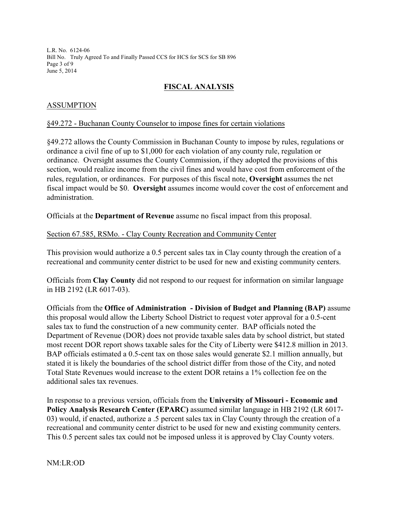L.R. No. 6124-06 Bill No. Truly Agreed To and Finally Passed CCS for HCS for SCS for SB 896 Page 3 of 9 June 5, 2014

## **FISCAL ANALYSIS**

### ASSUMPTION

### §49.272 - Buchanan County Counselor to impose fines for certain violations

§49.272 allows the County Commission in Buchanan County to impose by rules, regulations or ordinance a civil fine of up to \$1,000 for each violation of any county rule, regulation or ordinance. Oversight assumes the County Commission, if they adopted the provisions of this section, would realize income from the civil fines and would have cost from enforcement of the rules, regulation, or ordinances. For purposes of this fiscal note, **Oversight** assumes the net fiscal impact would be \$0. **Oversight** assumes income would cover the cost of enforcement and administration.

Officials at the **Department of Revenue** assume no fiscal impact from this proposal.

### Section 67.585, RSMo. - Clay County Recreation and Community Center

This provision would authorize a 0.5 percent sales tax in Clay county through the creation of a recreational and community center district to be used for new and existing community centers.

Officials from **Clay County** did not respond to our request for information on similar language in HB 2192 (LR 6017-03).

Officials from the **Office of Administration - Division of Budget and Planning (BAP)** assume this proposal would allow the Liberty School District to request voter approval for a 0.5-cent sales tax to fund the construction of a new community center. BAP officials noted the Department of Revenue (DOR) does not provide taxable sales data by school district, but stated most recent DOR report shows taxable sales for the City of Liberty were \$412.8 million in 2013. BAP officials estimated a 0.5-cent tax on those sales would generate \$2.1 million annually, but stated it is likely the boundaries of the school district differ from those of the City, and noted Total State Revenues would increase to the extent DOR retains a 1% collection fee on the additional sales tax revenues.

In response to a previous version, officials from the **University of Missouri - Economic and Policy Analysis Research Center (EPARC)** assumed similar language in HB 2192 (LR 6017- 03) would, if enacted, authorize a .5 percent sales tax in Clay County through the creation of a recreational and community center district to be used for new and existing community centers. This 0.5 percent sales tax could not be imposed unless it is approved by Clay County voters.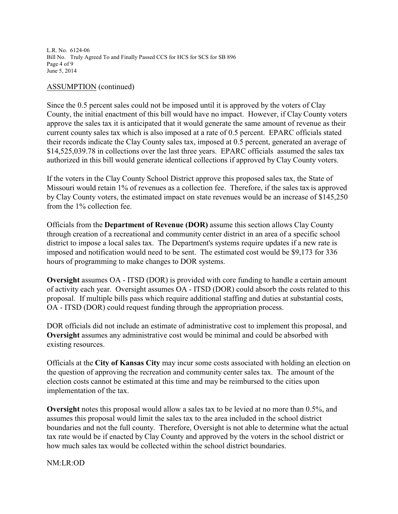L.R. No. 6124-06 Bill No. Truly Agreed To and Finally Passed CCS for HCS for SCS for SB 896 Page 4 of 9 June 5, 2014

#### ASSUMPTION (continued)

Since the 0.5 percent sales could not be imposed until it is approved by the voters of Clay County, the initial enactment of this bill would have no impact. However, if Clay County voters approve the sales tax it is anticipated that it would generate the same amount of revenue as their current county sales tax which is also imposed at a rate of 0.5 percent. EPARC officials stated their records indicate the Clay County sales tax, imposed at 0.5 percent, generated an average of \$14,525,039.78 in collections over the last three years. EPARC officials assumed the sales tax authorized in this bill would generate identical collections if approved by Clay County voters.

If the voters in the Clay County School District approve this proposed sales tax, the State of Missouri would retain 1% of revenues as a collection fee. Therefore, if the sales tax is approved by Clay County voters, the estimated impact on state revenues would be an increase of \$145,250 from the 1% collection fee.

Officials from the **Department of Revenue (DOR)** assume this section allows Clay County through creation of a recreational and community center district in an area of a specific school district to impose a local sales tax. The Department's systems require updates if a new rate is imposed and notification would need to be sent. The estimated cost would be \$9,173 for 336 hours of programming to make changes to DOR systems.

**Oversight** assumes OA - ITSD (DOR) is provided with core funding to handle a certain amount of activity each year. Oversight assumes OA - ITSD (DOR) could absorb the costs related to this proposal. If multiple bills pass which require additional staffing and duties at substantial costs, OA - ITSD (DOR) could request funding through the appropriation process.

DOR officials did not include an estimate of administrative cost to implement this proposal, and **Oversight** assumes any administrative cost would be minimal and could be absorbed with existing resources.

Officials at the **City of Kansas City** may incur some costs associated with holding an election on the question of approving the recreation and community center sales tax. The amount of the election costs cannot be estimated at this time and may be reimbursed to the cities upon implementation of the tax.

**Oversight** notes this proposal would allow a sales tax to be levied at no more than 0.5%, and assumes this proposal would limit the sales tax to the area included in the school district boundaries and not the full county. Therefore, Oversight is not able to determine what the actual tax rate would be if enacted by Clay County and approved by the voters in the school district or how much sales tax would be collected within the school district boundaries.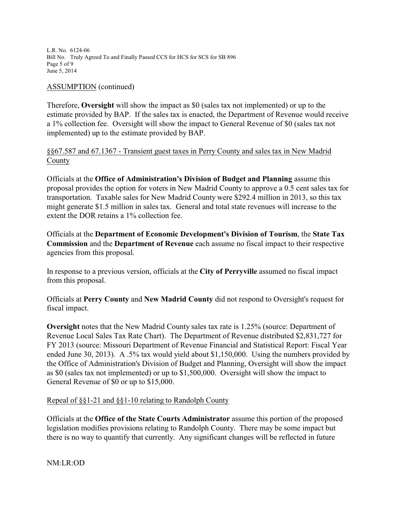L.R. No. 6124-06 Bill No. Truly Agreed To and Finally Passed CCS for HCS for SCS for SB 896 Page 5 of 9 June 5, 2014

#### ASSUMPTION (continued)

Therefore, **Oversight** will show the impact as \$0 (sales tax not implemented) or up to the estimate provided by BAP. If the sales tax is enacted, the Department of Revenue would receive a 1% collection fee. Oversight will show the impact to General Revenue of \$0 (sales tax not implemented) up to the estimate provided by BAP.

### §§67.587 and 67.1367 - Transient guest taxes in Perry County and sales tax in New Madrid County

Officials at the **Office of Administration's Division of Budget and Planning** assume this proposal provides the option for voters in New Madrid County to approve a 0.5 cent sales tax for transportation. Taxable sales for New Madrid County were \$292.4 million in 2013, so this tax might generate \$1.5 million in sales tax. General and total state revenues will increase to the extent the DOR retains a 1% collection fee.

Officials at the **Department of Economic Development's Division of Tourism**, the **State Tax Commission** and the **Department of Revenue** each assume no fiscal impact to their respective agencies from this proposal.

In response to a previous version, officials at the **City of Perryville** assumed no fiscal impact from this proposal.

Officials at **Perry County** and **New Madrid County** did not respond to Oversight's request for fiscal impact.

**Oversight** notes that the New Madrid County sales tax rate is 1.25% (source: Department of Revenue Local Sales Tax Rate Chart). The Department of Revenue distributed \$2,831,727 for FY 2013 (source: Missouri Department of Revenue Financial and Statistical Report: Fiscal Year ended June 30, 2013). A .5% tax would yield about \$1,150,000. Using the numbers provided by the Office of Administration's Division of Budget and Planning, Oversight will show the impact as \$0 (sales tax not implemented) or up to \$1,500,000. Oversight will show the impact to General Revenue of \$0 or up to \$15,000.

### Repeal of §§1-21 and §§1-10 relating to Randolph County

Officials at the **Office of the State Courts Administrator** assume this portion of the proposed legislation modifies provisions relating to Randolph County. There may be some impact but there is no way to quantify that currently. Any significant changes will be reflected in future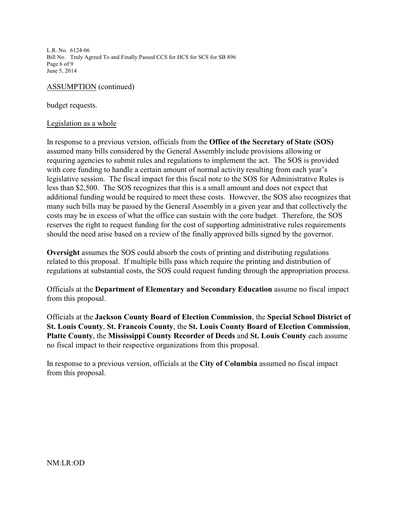L.R. No. 6124-06 Bill No. Truly Agreed To and Finally Passed CCS for HCS for SCS for SB 896 Page 6 of 9 June 5, 2014

#### ASSUMPTION (continued)

budget requests.

#### Legislation as a whole

In response to a previous version, officials from the **Office of the Secretary of State (SOS)** assumed many bills considered by the General Assembly include provisions allowing or requiring agencies to submit rules and regulations to implement the act. The SOS is provided with core funding to handle a certain amount of normal activity resulting from each year's legislative session. The fiscal impact for this fiscal note to the SOS for Administrative Rules is less than \$2,500. The SOS recognizes that this is a small amount and does not expect that additional funding would be required to meet these costs. However, the SOS also recognizes that many such bills may be passed by the General Assembly in a given year and that collectively the costs may be in excess of what the office can sustain with the core budget. Therefore, the SOS reserves the right to request funding for the cost of supporting administrative rules requirements should the need arise based on a review of the finally approved bills signed by the governor.

**Oversight** assumes the SOS could absorb the costs of printing and distributing regulations related to this proposal. If multiple bills pass which require the printing and distribution of regulations at substantial costs, the SOS could request funding through the appropriation process.

Officials at the **Department of Elementary and Secondary Education** assume no fiscal impact from this proposal.

Officials at the **Jackson County Board of Election Commission**, the **Special School District of St. Louis County**, **St. Francois County**, the **St. Louis County Board of Election Commission**, **Platte County**, the **Mississippi County Recorder of Deeds** and **St. Louis County** each assume no fiscal impact to their respective organizations from this proposal.

In response to a previous version, officials at the **City of Columbia** assumed no fiscal impact from this proposal.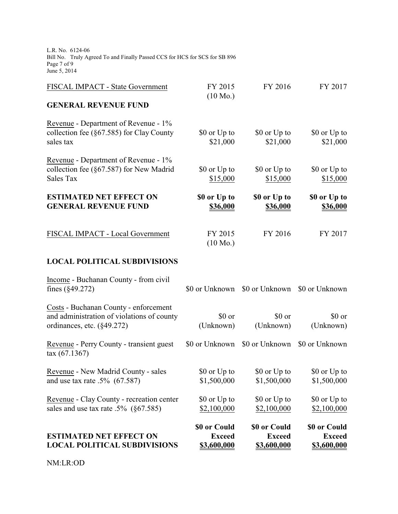L.R. No. 6124-06 Bill No. Truly Agreed To and Finally Passed CCS for HCS for SCS for SB 896 Page 7 of 9 June 5, 2014

| FISCAL IMPACT - State Government                                                                                  | FY 2015<br>$(10 \text{ Mo.})$   | FY 2016                         | FY 2017                     |
|-------------------------------------------------------------------------------------------------------------------|---------------------------------|---------------------------------|-----------------------------|
| <b>GENERAL REVENUE FUND</b>                                                                                       |                                 |                                 |                             |
| Revenue - Department of Revenue - 1%<br>collection fee $(\S67.585)$ for Clay County<br>sales tax                  | \$0 or Up to<br>\$21,000        | \$0 or Up to<br>\$21,000        | \$0 or Up to<br>\$21,000    |
| Revenue - Department of Revenue - 1%<br>collection fee (§67.587) for New Madrid<br>Sales Tax                      | \$0 or Up to<br>\$15,000        | \$0 or Up to<br>\$15,000        | \$0 or Up to<br>\$15,000    |
| <b>ESTIMATED NET EFFECT ON</b><br><b>GENERAL REVENUE FUND</b>                                                     | \$0 or Up to<br><b>\$36,000</b> | \$0 or Up to<br><b>\$36,000</b> | \$0 or Up to<br>\$36,000    |
| FISCAL IMPACT - Local Government                                                                                  | FY 2015<br>$(10 \text{ Mo.})$   | FY 2016                         | FY 2017                     |
| <b>LOCAL POLITICAL SUBDIVISIONS</b>                                                                               |                                 |                                 |                             |
| Income - Buchanan County - from civil<br>fines $(\S 49.272)$                                                      | \$0 or Unknown                  | \$0 or Unknown                  | \$0 or Unknown              |
| Costs - Buchanan County - enforcement<br>and administration of violations of county<br>ordinances, etc. (§49.272) | \$0 or<br>(Unknown)             | \$0 or<br>(Unknown)             | \$0 or<br>(Unknown)         |
| Revenue - Perry County - transient guest<br>$\text{tax}(67.1367)$                                                 | \$0 or Unknown                  | \$0 or Unknown                  | \$0 or Unknown              |
| Revenue - New Madrid County - sales<br>and use tax rate $.5\%$ (67.587)                                           | \$0 or Up to<br>\$1,500,000     | \$0 or Up to<br>\$1,500,000     | \$0 or Up to<br>\$1,500,000 |

\$0 or Up to \$2,100,000

**\$0 or Could Exceed \$3,600,000** \$0 or Up to \$2,100,000

**\$0 or Could Exceed \$3,600,000** \$0 or Up to \$2,100,000

**\$0 or Could Exceed \$3,600,000**

Revenue - Clay County - recreation center sales and use tax rate .5% (§67.585)

**ESTIMATED NET EFFECT ON LOCAL POLITICAL SUBDIVISIONS**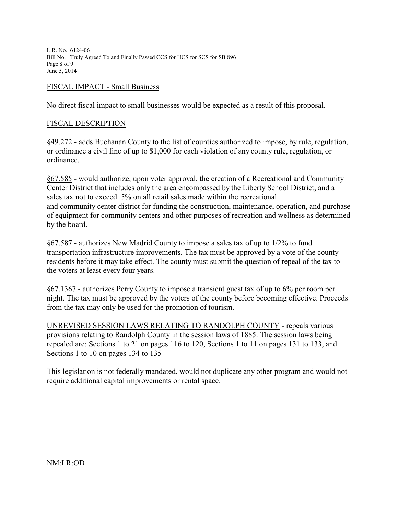L.R. No. 6124-06 Bill No. Truly Agreed To and Finally Passed CCS for HCS for SCS for SB 896 Page 8 of 9 June 5, 2014

#### FISCAL IMPACT - Small Business

No direct fiscal impact to small businesses would be expected as a result of this proposal.

#### FISCAL DESCRIPTION

§49.272 - adds Buchanan County to the list of counties authorized to impose, by rule, regulation, or ordinance a civil fine of up to \$1,000 for each violation of any county rule, regulation, or ordinance.

§67.585 - would authorize, upon voter approval, the creation of a Recreational and Community Center District that includes only the area encompassed by the Liberty School District, and a sales tax not to exceed .5% on all retail sales made within the recreational and community center district for funding the construction, maintenance, operation, and purchase of equipment for community centers and other purposes of recreation and wellness as determined by the board.

§67.587 - authorizes New Madrid County to impose a sales tax of up to 1/2% to fund transportation infrastructure improvements. The tax must be approved by a vote of the county residents before it may take effect. The county must submit the question of repeal of the tax to the voters at least every four years.

§67.1367 - authorizes Perry County to impose a transient guest tax of up to 6% per room per night. The tax must be approved by the voters of the county before becoming effective. Proceeds from the tax may only be used for the promotion of tourism.

UNREVISED SESSION LAWS RELATING TO RANDOLPH COUNTY - repeals various provisions relating to Randolph County in the session laws of 1885. The session laws being repealed are: Sections 1 to 21 on pages 116 to 120, Sections 1 to 11 on pages 131 to 133, and Sections 1 to 10 on pages 134 to 135

This legislation is not federally mandated, would not duplicate any other program and would not require additional capital improvements or rental space.